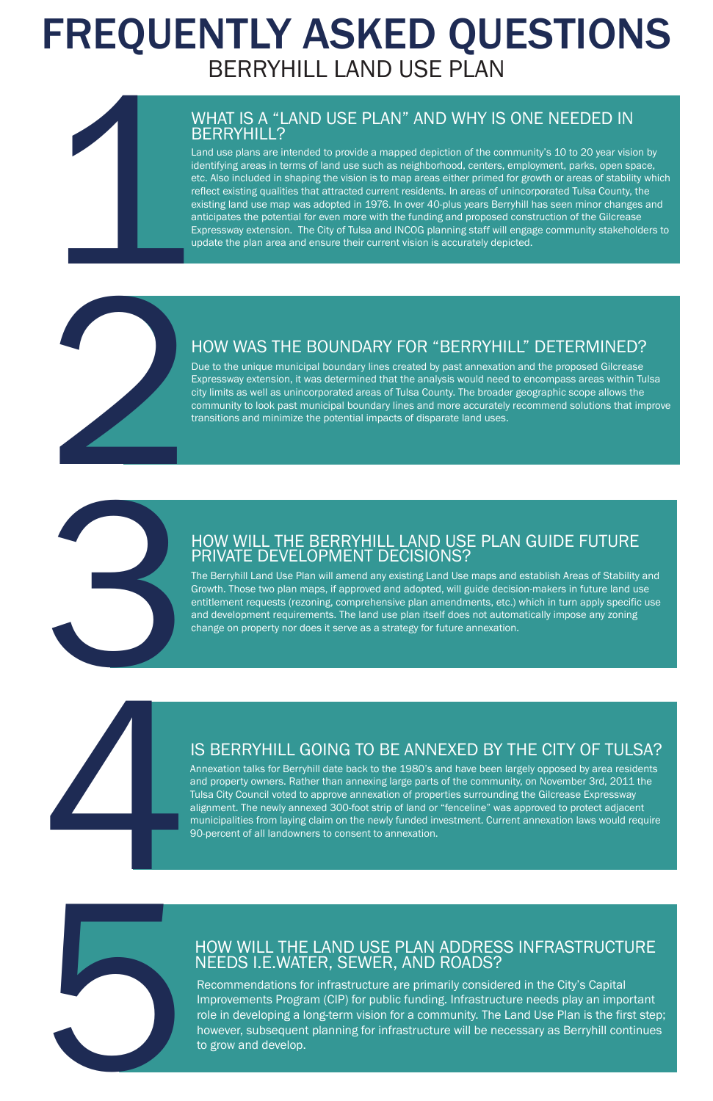# FREQUENTLY ASKED QUESTIONS BERRYHILL LAND USE PLAN

Due to the unique municipal boundary lines created by past annexation and the proposed Gilcrease Expressway extension, it was determined that the analysis would need to encompass areas within Tulsa city limits as well as unincorporated areas of Tulsa County. The broader geographic scope allows the community to look past municipal boundary lines and more accurately recommend solutions that improve transitions and minimize the potential impacts of disparate land uses. 2

### HOW WAS THE BOUNDARY FOR "BERRYHILL" DETERMINED?

# BERRYHILL?

WHAT IS A "LAND USE PLAN" AND WHY IS ONE NEEDED IN BERRYHILL?<br>Land use plans are intended to provide a mapped depiction of the community's 10 to 20 year vision<br>identifying areas in terms of land use such as neighborhood, c Land use plans are intended to provide a mapped depiction of the community's 10 to 20 year vision by identifying areas in terms of land use such as neighborhood, centers, employment, parks, open space, etc. Also included in shaping the vision is to map areas either primed for growth or areas of stability which reflect existing qualities that attracted current residents. In areas of unincorporated Tulsa County, the existing land use map was adopted in 1976. In over 40-plus years Berryhill has seen minor changes and anticipates the potential for even more with the funding and proposed construction of the Gilcrease Expressway extension. The City of Tulsa and INCOG planning staff will engage community stakeholders to update the plan area and ensure their current vision is accurately depicted.

4 Annexation talks for Berryhill date back to the 1980's and have been largely opposed by area residents and property owners. Rather than annexing large parts of the community, on November 3rd, 2011 the Tulsa City Council voted to approve annexation of properties surrounding the Gilcrease Expressway alignment. The newly annexed 300-foot strip of land or "fenceline" was approved to protect adjacent municipalities from laying claim on the newly funded investment. Current annexation laws would require 90-percent of all landowners to consent to annexation.

5

### HOW WILL THE BERRYHILL LAND USE PLAN GUIDE FUTURE PRIVATE DEVELOPMENT DECISIONS?

3

The Berryhill Land Use Plan will amend any existing Land Use maps and establish Areas of Stability and Growth. Those two plan maps, if approved and adopted, will guide decision-makers in future land use entitlement requests (rezoning, comprehensive plan amendments, etc.) which in turn apply specific use and development requirements. The land use plan itself does not automatically impose any zoning change on property nor does it serve as a strategy for future annexation.

## IS BERRYHILL GOING TO BE ANNEXED BY THE CITY OF TULSA?

### HOW WILL THE LAND USE PLAN ADDRESS INFRASTRUCTURE NEEDS I.E.WATER, SEWER, AND ROADS?

Recommendations for infrastructure are primarily considered in the City's Capital Improvements Program (CIP) for public funding. Infrastructure needs play an important role in developing a long-term vision for a community. The Land Use Plan is the first step; however, subsequent planning for infrastructure will be necessary as Berryhill continues to grow and develop.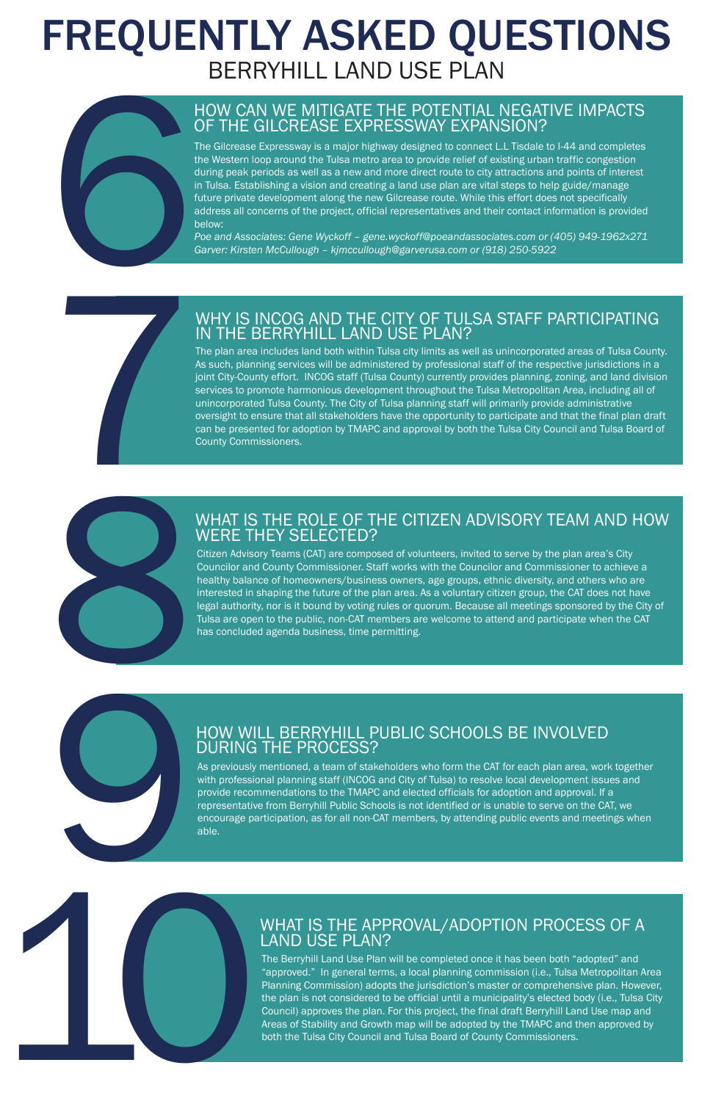# FREQUENTLY ASKED QUESTIONS BERRYHILL LAND USE PLAN

# 10 9





### HOW CAN WE MITIGATE THE POTENTIAL NEGATIVE IMPACTS OF THE GILCREASE EXPRESSWAY EXPANSION?

The Gilcrease Expressway is a major highway designed to connect L.L Tisdale to I-44 and completes the Western loop around the Tulsa metro area to provide relief of existing urban traffic congestion during peak periods as well as a new and more direct route to city attractions and points of interest in Tulsa. Establishing a vision and creating a land use plan are vital steps to help guide/manage future private development along the new Gilcrease route. While this effort does not specifically address all concerns of the project, official representatives and their contact information is provided below:

*Poe and Associates: Gene Wyckoff – gene.wyckoff@poeandassociates.com or (405) 949-1962x271 Garver: Kirsten McCullough – kjmccullough@garverusa.com or (918) 250-5922*

### WHY IS INCOG AND THE CITY OF TULSA STAFF PARTICIPATING IN THE BERRYHILL LAND USE PLAN?

The plan area includes land both within Tulsa city limits as well as unincorporated areas of Tulsa County. As such, planning services will be administered by professional staff of the respective jurisdictions in a joint City-County effort. INCOG staff (Tulsa County) currently provides planning, zoning, and land division services to promote harmonious development throughout the Tulsa Metropolitan Area, including all of unincorporated Tulsa County. The City of Tulsa planning staff will primarily provide administrative oversight to ensure that all stakeholders have the opportunity to participate and that the final plan draft can be presented for adoption by TMAPC and approval by both the Tulsa City Council and Tulsa Board of County Commissioners.

### WHAT IS THE ROLE OF THE CITIZEN ADVISORY TEAM AND HOW WERE THEY SELECTED?

Citizen Advisory Teams (CAT) are composed of volunteers, invited to serve by the plan area's City Councilor and County Commissioner. Staff works with the Councilor and Commissioner to achieve a healthy balance of homeowners/business owners, age groups, ethnic diversity, and others who are interested in shaping the future of the plan area. As a voluntary citizen group, the CAT does not have legal authority, nor is it bound by voting rules or quorum. Because all meetings sponsored by the City of Tulsa are open to the public, non-CAT members are welcome to attend and participate when the CAT has concluded agenda business, time permitting.

### HOW WILL BERRYHILL PUBLIC SCHOOLS BE INVOLVED DURING THE PROCESS?

As previously mentioned, a team of stakeholders who form the CAT for each plan area, work together with professional planning staff (INCOG and City of Tulsa) to resolve local development issues and provide recommendations to the TMAPC and elected officials for adoption and approval. If a representative from Berryhill Public Schools is not identified or is unable to serve on the CAT, we

encourage participation, as for all non-CAT members, by attending public events and meetings when

able.

### WHAT IS THE APPROVAL/ADOPTION PROCESS OF A LAND USE PLAN?

The Berryhill Land Use Plan will be completed once it has been both "adopted" and "approved." In general terms, a local planning commission (i.e., Tulsa Metropolitan Area Planning Commission) adopts the jurisdiction's master or comprehensive plan. However, the plan is not considered to be official until a municipality's elected body (i.e., Tulsa City Council) approves the plan. For this project, the final draft Berryhill Land Use map and Areas of Stability and Growth map will be adopted by the TMAPC and then approved by both the Tulsa City Council and Tulsa Board of County Commissioners.